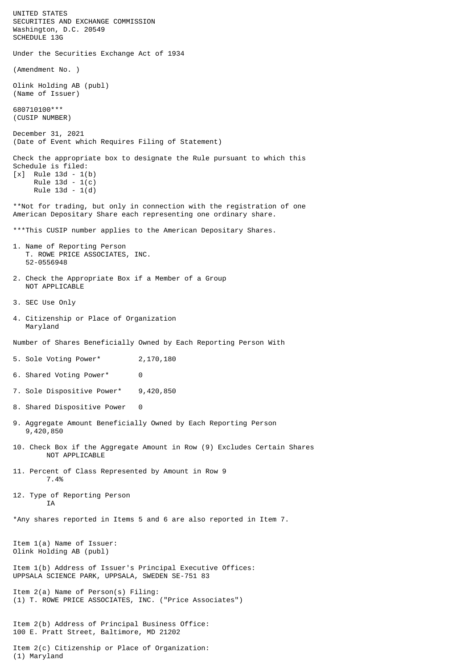UNITED STATES SECURITIES AND EXCHANGE COMMISSION Washington, D.C. 20549 SCHEDULE 13G Under the Securities Exchange Act of 1934 (Amendment No. ) Olink Holding AB (publ) (Name of Issuer) 680710100\*\*\* (CUSIP NUMBER) December 31, 2021 (Date of Event which Requires Filing of Statement) Check the appropriate box to designate the Rule pursuant to which this Schedule is filed:  $[x]$  Rule 13d - 1(b) Rule 13d - 1(c) Rule 13d - 1(d) \*\*Not for trading, but only in connection with the registration of one American Depositary Share each representing one ordinary share. \*\*\*This CUSIP number applies to the American Depositary Shares. 1. Name of Reporting Person T. ROWE PRICE ASSOCIATES, INC. 52-0556948 2. Check the Appropriate Box if a Member of a Group NOT APPLICABLE 3. SEC Use Only 4. Citizenship or Place of Organization Maryland Number of Shares Beneficially Owned by Each Reporting Person With 5. Sole Voting Power\* 2,170,180 6. Shared Voting Power\* 0 7. Sole Dispositive Power\* 9,420,850 8. Shared Dispositive Power 0 9. Aggregate Amount Beneficially Owned by Each Reporting Person 9,420,850 10. Check Box if the Aggregate Amount in Row (9) Excludes Certain Shares NOT APPLICABLE 11. Percent of Class Represented by Amount in Row 9 7.4% 12. Type of Reporting Person IA \*Any shares reported in Items 5 and 6 are also reported in Item 7. Item 1(a) Name of Issuer: Olink Holding AB (publ) Item 1(b) Address of Issuer's Principal Executive Offices: UPPSALA SCIENCE PARK, UPPSALA, SWEDEN SE-751 83 Item 2(a) Name of Person(s) Filing: (1) T. ROWE PRICE ASSOCIATES, INC. ("Price Associates") Item 2(b) Address of Principal Business Office: 100 E. Pratt Street, Baltimore, MD 21202 Item 2(c) Citizenship or Place of Organization: (1) Maryland